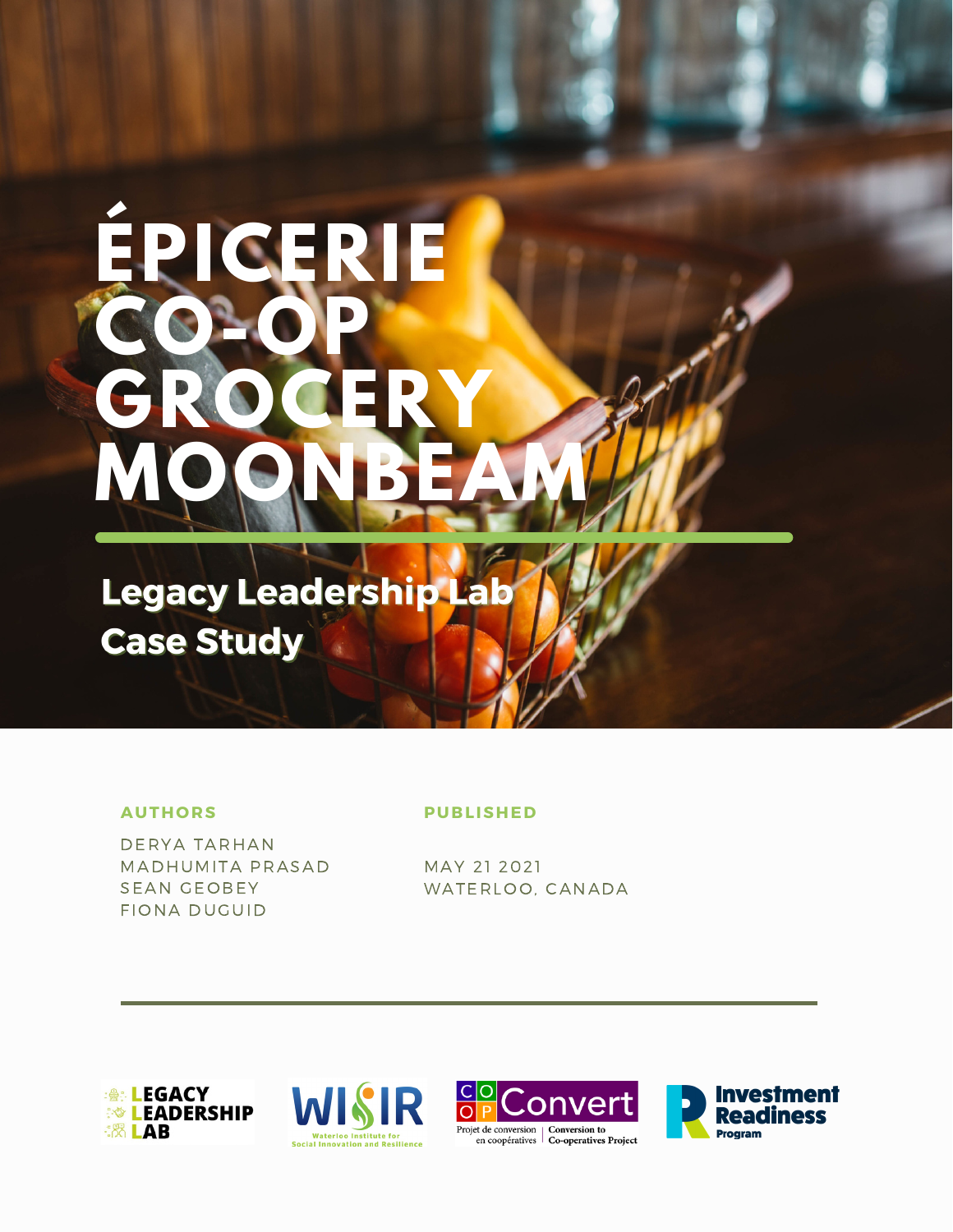# **ÉPICERIE CO-OP GROCERY MOONBEAM**

**Legacy Leadership Lab Case Study** 

#### **AUTHORS**

DERYA TARHAN MADHUMITA PRASAD SEAN GEOBEY FIONA DUGUID

#### **PUBLISHED**

MAY 21 2021 WATERLOO, CANADA







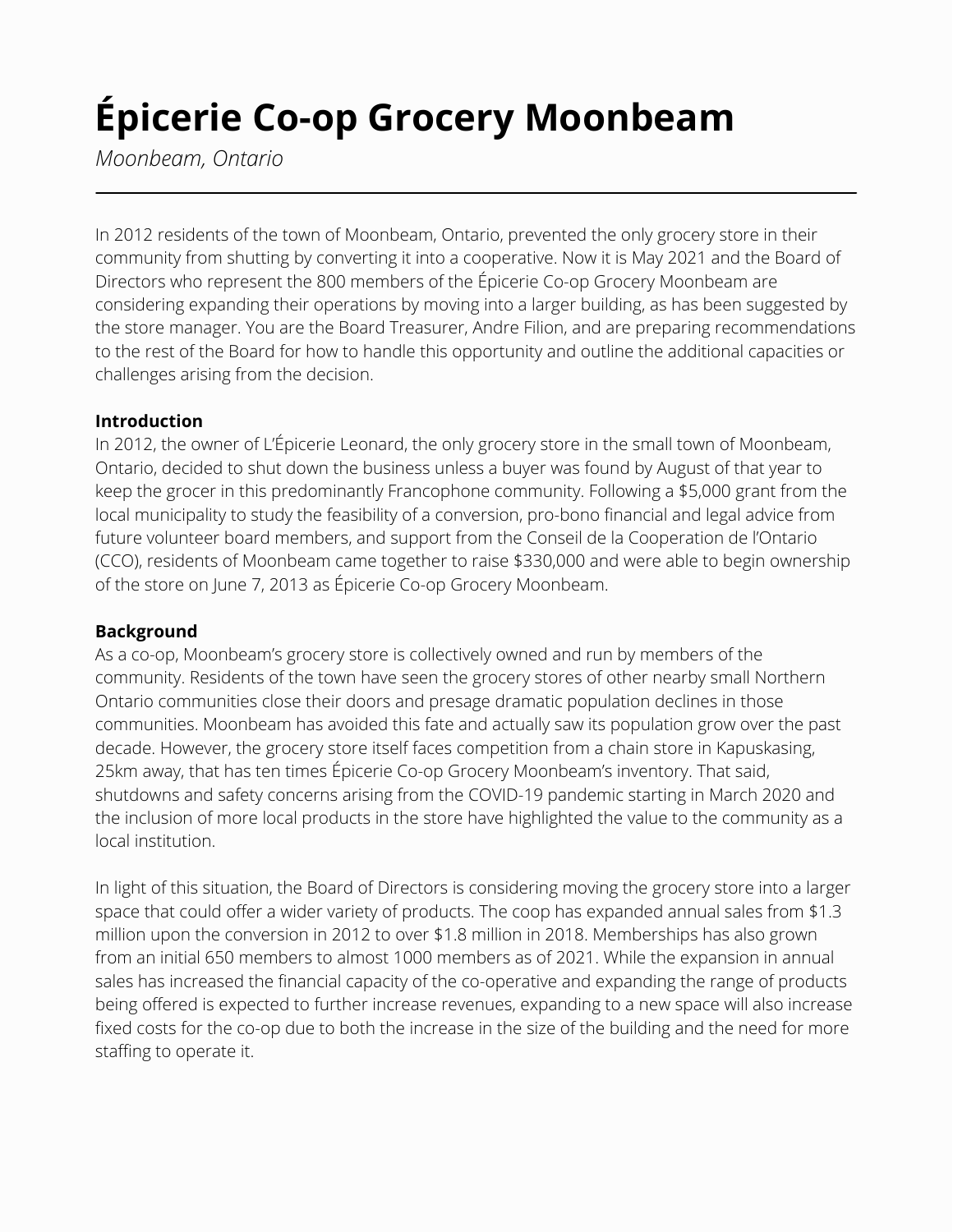# **Épicerie Co-op Grocery Moonbeam**

*Moonbeam, Ontario*

In 2012 residents of the town of Moonbeam, Ontario, prevented the only grocery store in their community from shutting by converting it into a cooperative. Now it is May 2021 and the Board of Directors who represent the 800 members of the Épicerie Co-op Grocery Moonbeam are considering expanding their operations by moving into a larger building, as has been suggested by the store manager. You are the Board Treasurer, Andre Filion, and are preparing recommendations to the rest of the Board for how to handle this opportunity and outline the additional capacities or challenges arising from the decision.

#### **Introduction**

In 2012, the owner of L'Épicerie Leonard, the only grocery store in the small town of Moonbeam, Ontario, decided to shut down the business unless a buyer was found by August of that year to keep the grocer in this predominantly Francophone community. Following a \$5,000 grant from the local municipality to study the feasibility of a conversion, pro-bono financial and legal advice from future volunteer board members, and support from the Conseil de la Cooperation de l'Ontario (CCO), residents of Moonbeam came together to raise \$330,000 and were able to begin ownership of the store on June 7, 2013 as Épicerie Co-op Grocery Moonbeam.

## **Background**

As a co-op, Moonbeam's grocery store is collectively owned and run by members of the community. Residents of the town have seen the grocery stores of other nearby small Northern Ontario communities close their doors and presage dramatic population declines in those communities. Moonbeam has avoided this fate and actually saw its population grow over the past decade. However, the grocery store itself faces competition from a chain store in Kapuskasing, 25km away, that has ten times Épicerie Co-op Grocery Moonbeam's inventory. That said, shutdowns and safety concerns arising from the COVID-19 pandemic starting in March 2020 and the inclusion of more local products in the store have highlighted the value to the community as a local institution.

In light of this situation, the Board of Directors is considering moving the grocery store into a larger space that could offer a wider variety of products. The coop has expanded annual sales from \$1.3 million upon the conversion in 2012 to over \$1.8 million in 2018. Memberships has also grown from an initial 650 members to almost 1000 members as of 2021. While the expansion in annual sales has increased the financial capacity of the co-operative and expanding the range of products being offered is expected to further increase revenues, expanding to a new space will also increase fixed costs for the co-op due to both the increase in the size of the building and the need for more staffing to operate it.